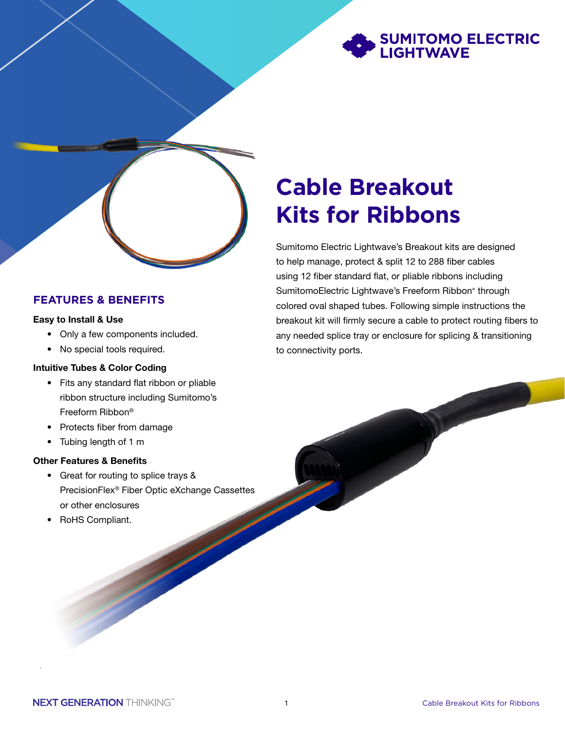

#### **FEATURES & BENEFITS**

#### Easy to Install & Use

- Only a few components included.
- No special tools required.

#### Intuitive Tubes & Color Coding

- Fits any standard flat ribbon or pliable ribbon structure including Sumitomo's Freeform Ribbon®
- Protects fiber from damage
- Tubing length of 1 m

#### Other Features & Benefits

- Great for routing to splice trays & PrecisionFlex® Fiber Optic eXchange Cassettes or other enclosures
- RoHS Compliant.

# **Cable Breakout Kits for Ribbons**

Sumitomo Electric Lightwave's Breakout kits are designed to help manage, protect & split 12 to 288 fiber cables using 12 fiber standard flat, or pliable ribbons including SumitomoElectric Lightwave's Freeform Ribbon® through colored oval shaped tubes. Following simple instructions the breakout kit will firmly secure a cable to protect routing fibers to any needed splice tray or enclosure for splicing & transitioning to connectivity ports.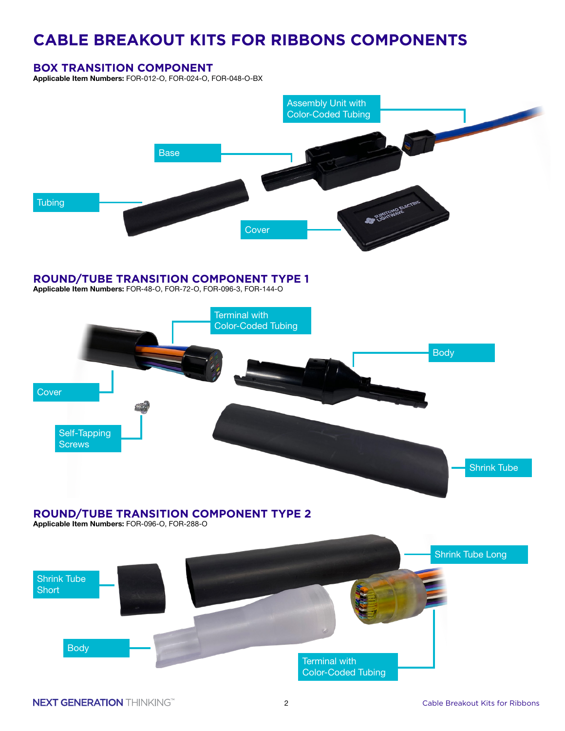# **CABLE BREAKOUT KITS FOR RIBBONS COMPONENTS**

#### **BOX TRANSITION COMPONENT**

Applicable Item Numbers: FOR-012-O, FOR-024-O, FOR-048-O-BX



Applicable Item Numbers: FOR-48-O, FOR-72-O, FOR-096-3, FOR-144-O



## **ROUND/TUBE TRANSITION COMPONENT TYPE 2**

Applicable Item Numbers: FOR-096-O, FOR-288-O